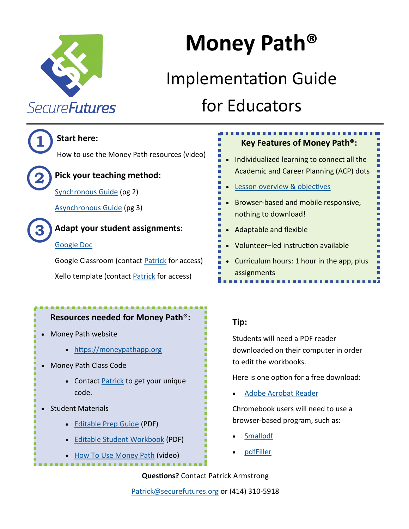<span id="page-0-0"></span>

# **Money Path®**

## Implementation Guide for Educators



### **Start here:**

How to use the Money Path resources (video)



## **Pick your teaching method:**

[Synchronous Guide](#page-1-0) (pg 2)

[Asynchronous Guide](#page-3-0) (pg 3)



### **Adapt your student assignments:**

### [Google Doc](https://docs.google.com/document/d/152oZ96O9GYjuXquI7HOLLilzbKSkSw_Ix1BNL4oVIA8/edit?usp=sharing)

Google Classroom (contact [Patrick](mailto:patrick@securefutures.org) for access) Xello template (contact [Patrick](mailto:patrick@securefutures.org) for access)

### **Resources needed for Money Path®:**

- Money Path website
	- <https://moneypathapp.org>
- Money Path Class Code
	- Contact [Patrick](mailto:patrick@securefutures.org) to get your unique code.
- Student Materials
	- [Editable Prep Guide](https://securefutures.org/wp-content/uploads/2020/09/Money-Path-App-Student-Prep-Guide-2019-FILLABLE.pdf) (PDF)
	- **[Editable Student Workbook](https://securefutures.org/wp-content/uploads/2020/09/Money-Path-Student-Workbook.FINAL-Fillable.pdf) (PDF)**
	- [How To Use Money Path](https://youtu.be/kMH8tIPvJ_Y) (video)

### **Key Features of Money Path®:** • Individualized learning to connect all the Academic and Career Planning (ACP) dots

..................

- [Lesson overview & objectives](https://securefutures.org/wp-content/uploads/2020/01/Money-Path-App-Lesson-Overview.final_.pdf)
- Browser-based and mobile responsive, nothing to download!
- Adaptable and flexible
- Volunteer–led instruction available
- Curriculum hours: 1 hour in the app, plus assignments . . . . . . . . . . . . . . . . . .

### **Tip:**

Students will need a PDF reader downloaded on their computer in order to edit the workbooks.

Here is one option for a free download:

[Adobe Acrobat Reader](https://get.adobe.com/reader/)

Chromebook users will need to use a browser-based program, such as:

- [Smallpdf](https://smallpdf.com/)
- [pdfFiller](https://www.pdffiller.com/)

**Questions?** Contact Patrick Armstrong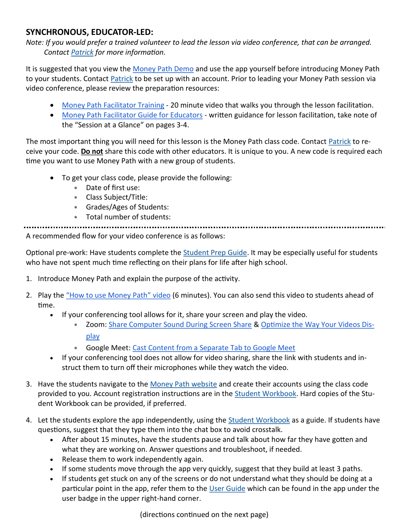### <span id="page-1-0"></span>**SYNCHRONOUS, EDUCATOR-LED:**

*Note: If you would prefer a trained volunteer to lead the lesson via video conference, that can be arranged. Contact [Patrick](mailto:patrick@securefutures.org) for more information.* 

It is suggested that you view the [Money Path Demo](https://youtu.be/2gBy3yWN5wQ) and use the app yourself before introducing Money Path to your students. Contact [Patrick](mailto:patrick@securefutures.org) to be set up with an account. Prior to leading your Money Path session via video conference, please review the preparation resources:

- [Money Path Facilitator Training](https://www.youtube.com/watch?v=fF6fub1MbDg&feature=youtu.be) 20 minute video that walks you through the lesson facilitation.
- [Money Path Facilitator Guide for Educators](https://securefutures.org/wp-content/uploads/2020/02/Facilitator-Guide.educator.FINAL_.pdf) written guidance for lesson facilitation, take note of the "Session at a Glance" on pages 3-4.

The most important thing you will need for this lesson is the Money Path class code. Contact [Patrick](mailto:patrick@securefutures.org) to receive your code. **Do not** share this code with other educators. It is unique to you. A new code is required each time you want to use Money Path with a new group of students.

- To get your class code, please provide the following:
	- Date of first use:
	- Class Subject/Title:
	- Grades/Ages of Students:
	- Total number of students:

A recommended flow for your video conference is as follows:

Optional pre-work: Have students complete the **[Student Prep Guide.](https://securefutures.org/wp-content/uploads/2020/09/Money-Path-App-Student-Prep-Guide-2019-FILLABLE.pdf) It may be especially** useful for students who have not spent much time reflecting on their plans for life after high school.

- 1. Introduce Money Path and explain the purpose of the activity.
- 2. Play the ["How to use Money Path" video](https://youtu.be/kMH8tIPvJ_Y) (6 minutes). You can also send this video to students ahead of time.
	- If your conferencing tool allows for it, share your screen and play the video.
		- Zoom: [Share Computer Sound During Screen Share](https://it.umn.edu/zoom-share-computer-sound-during-screen) & [Optimize the Way Your Videos Dis](https://it.umn.edu/zoom-optimize-way-your-videos-display)[play](https://it.umn.edu/zoom-optimize-way-your-videos-display)
		- Google Meet: [Cast Content from a Separate Tab to Google Meet](https://gsuite.pupam.com/en/learning-center/tips/hangouts/#!/show-tip/show-content-to-video-call-participants-with-casting)
	- If your conferencing tool does not allow for video sharing, share the link with students and instruct them to turn off their microphones while they watch the video.
- 3. Have the students navigate to the [Money Path website](https://moneypathapp.org/) and create their accounts using the class code provided to you. Account registration instructions are in the [Student Workbook.](https://securefutures.org/wp-content/uploads/2020/09/Money-Path-Student-Workbook.FINAL-Fillable.pdf) Hard copies of the Student Workbook can be provided, if preferred.
- 4. Let the students explore the app independently, using the [Student Workbook](https://securefutures.org/wp-content/uploads/2020/09/Money-Path-Student-Workbook.FINAL-Fillable.pdf) as a guide. If students have questions, suggest that they type them into the chat box to avoid crosstalk.
	- After about 15 minutes, have the students pause and talk about how far they have gotten and what they are working on. Answer questions and troubleshoot, if needed.
	- Release them to work independently again.
	- If some students move through the app very quickly, suggest that they build at least 3 paths.
	- If students get stuck on any of the screens or do not understand what they should be doing at a particular point in the app, refer them to the [User Guide](https://securefutures.org/money-path-version-2-user-guide/) which can be found in the app under the user badge in the upper right-hand corner.

(directions continued on the next page)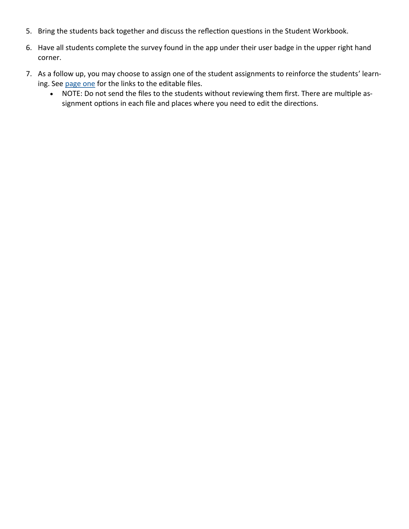- 5. Bring the students back together and discuss the reflection questions in the Student Workbook.
- 6. Have all students complete the survey found in the app under their user badge in the upper right hand corner.
- 7. As a follow up, you may choose to assign one of the student assignments to reinforce the students' learning. See [page one](#page-0-0) for the links to the editable files.
	- NOTE: Do not send the files to the students without reviewing them first. There are multiple assignment options in each file and places where you need to edit the directions.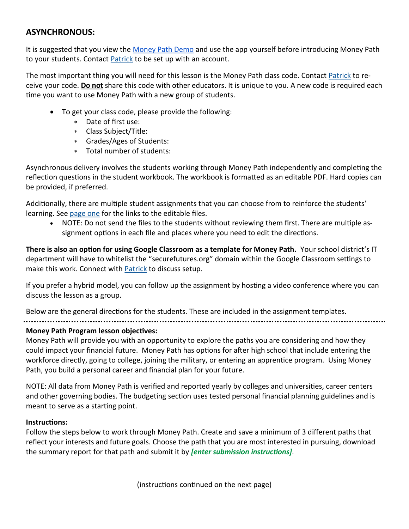### <span id="page-3-0"></span>**ASYNCHRONOUS:**

It is suggested that you view the [Money Path Demo](https://youtu.be/2gBy3yWN5wQ) and use the app yourself before introducing Money Path to your students. Contact [Patrick](mailto:patrick@securefutures.org) to be set up with an account.

The most important thing you will need for this lesson is the Money Path class code. Contact [Patrick](mailto:patrick@securefutures.org) to receive your code. **Do not** share this code with other educators. It is unique to you. A new code is required each time you want to use Money Path with a new group of students.

- To get your class code, please provide the following:
	- Date of first use:
	- Class Subject/Title:
	- Grades/Ages of Students:
	- Total number of students:

Asynchronous delivery involves the students working through Money Path independently and completing the reflection questions in the student workbook. The workbook is formatted as an editable PDF. Hard copies can be provided, if preferred.

Additionally, there are multiple student assignments that you can choose from to reinforce the students' learning. See [page one](#page-0-0) for the links to the editable files.

 NOTE: Do not send the files to the students without reviewing them first. There are multiple assignment options in each file and places where you need to edit the directions.

**There is also an option for using Google Classroom as a template for Money Path.** Your school district's IT department will have to whitelist the "securefutures.org" domain within the Google Classroom settings to make this work. Connect with [Patrick](mailto:patrick@securefutures.org) to discuss setup.

If you prefer a hybrid model, you can follow up the assignment by hosting a video conference where you can discuss the lesson as a group.

Below are the general directions for the students. These are included in the assignment templates.

### **Money Path Program lesson objectives:**

Money Path will provide you with an opportunity to explore the paths you are considering and how they could impact your financial future. Money Path has options for after high school that include entering the workforce directly, going to college, joining the military, or entering an apprentice program. Using Money Path, you build a personal career and financial plan for your future.

NOTE: All data from Money Path is verified and reported yearly by colleges and universities, career centers and other governing bodies. The budgeting section uses tested personal financial planning guidelines and is meant to serve as a starting point.

### **Instructions:**

Follow the steps below to work through Money Path. Create and save a minimum of 3 different paths that reflect your interests and future goals. Choose the path that you are most interested in pursuing, download the summary report for that path and submit it by *[enter submission instructions]*.